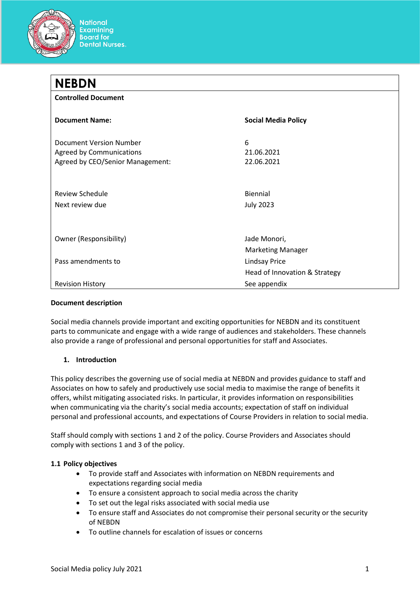

#### **Document description**

Social media channels provide important and exciting opportunities for NEBDN and its constituent parts to communicate and engage with a wide range of audiences and stakeholders. These channels also provide a range of professional and personal opportunities for staff and Associates.

#### **1. Introduction**

This policy describes the governing use of social media at NEBDN and provides guidance to staff and Associates on how to safely and productively use social media to maximise the range of benefits it offers, whilst mitigating associated risks. In particular, it provides information on responsibilities when communicating via the charity's social media accounts; expectation of staff on individual personal and professional accounts, and expectations of Course Providers in relation to social media.

Staff should comply with sections 1 and 2 of the policy. Course Providers and Associates should comply with sections 1 and 3 of the policy.

#### **1.1 Policy objectives**

- To provide staff and Associates with information on NEBDN requirements and expectations regarding social media
- To ensure a consistent approach to social media across the charity
- To set out the legal risks associated with social media use
- To ensure staff and Associates do not compromise their personal security or the security of NEBDN
- To outline channels for escalation of issues or concerns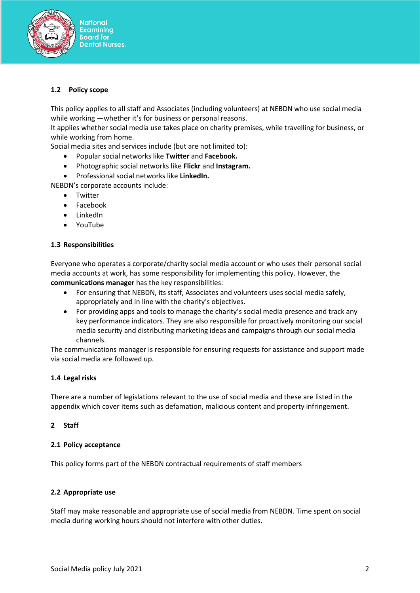

# **1.2 Policy scope**

This policy applies to all staff and Associates (including volunteers) at NEBDN who use social media while working —whether it's for business or personal reasons.

It applies whether social media use takes place on charity premises, while travelling for business, or while working from home.

Social media sites and services include (but are not limited to):

- Popular social networks like **Twitter** and **Facebook.**
- Photographic social networks like **Flickr** and **Instagram.**
- Professional social networks like **LinkedIn.**

NEBDN's corporate accounts include:

- Twitter
- Facebook
- LinkedIn
- YouTube

#### **1.3 Responsibilities**

Everyone who operates a corporate/charity social media account or who uses their personal social media accounts at work, has some responsibility for implementing this policy. However, the **communications manager** has the key responsibilities:

- For ensuring that NEBDN, its staff, Associates and volunteers uses social media safely, appropriately and in line with the charity's objectives.
- For providing apps and tools to manage the charity's social media presence and track any key performance indicators. They are also responsible for proactively monitoring our social media security and distributing marketing ideas and campaigns through our social media channels.

The communications manager is responsible for ensuring requests for assistance and support made via social media are followed up.

#### **1.4 Legal risks**

There are a number of legislations relevant to the use of social media and these are listed in the appendix which cover items such as defamation, malicious content and property infringement.

#### **2 Staff**

#### **2.1 Policy acceptance**

This policy forms part of the NEBDN contractual requirements of staff members

#### **2.2 Appropriate use**

Staff may make reasonable and appropriate use of social media from NEBDN. Time spent on social media during working hours should not interfere with other duties.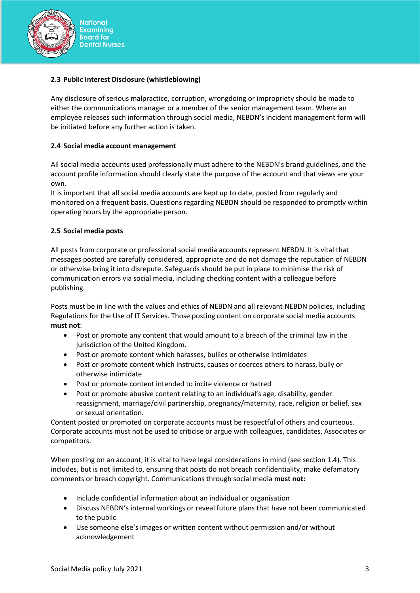

# **2.3 Public Interest Disclosure (whistleblowing)**

Any disclosure of serious malpractice, corruption, wrongdoing or impropriety should be made to either the communications manager or a member of the senior management team. Where an employee releases such information through social media, NEBDN's incident management form will be initiated before any further action is taken.

#### **2.4 Social media account management**

All social media accounts used professionally must adhere to the NEBDN's brand guidelines, and the account profile information should clearly state the purpose of the account and that views are your own.

It is important that all social media accounts are kept up to date, posted from regularly and monitored on a frequent basis. Questions regarding NEBDN should be responded to promptly within operating hours by the appropriate person.

#### **2.5 Social media posts**

All posts from corporate or professional social media accounts represent NEBDN. It is vital that messages posted are carefully considered, appropriate and do not damage the reputation of NEBDN or otherwise bring it into disrepute. Safeguards should be put in place to minimise the risk of communication errors via social media, including checking content with a colleague before publishing.

Posts must be in line with the values and ethics of NEBDN and all relevant NEBDN policies, including Regulations for the Use of IT Services. Those posting content on corporate social media accounts **must not**:

- Post or promote any content that would amount to a breach of the criminal law in the jurisdiction of the United Kingdom.
- Post or promote content which harasses, bullies or otherwise intimidates
- Post or promote content which instructs, causes or coerces others to harass, bully or otherwise intimidate
- Post or promote content intended to incite violence or hatred
- Post or promote abusive content relating to an individual's age, disability, gender reassignment, marriage/civil partnership, pregnancy/maternity, race, religion or belief, sex or sexual orientation.

Content posted or promoted on corporate accounts must be respectful of others and courteous. Corporate accounts must not be used to criticise or argue with colleagues, candidates, Associates or competitors.

When posting on an account, it is vital to have legal considerations in mind (see section 1.4). This includes, but is not limited to, ensuring that posts do not breach confidentiality, make defamatory comments or breach copyright. Communications through social media **must not:** 

- Include confidential information about an individual or organisation
- Discuss NEBDN's internal workings or reveal future plans that have not been communicated to the public
- Use someone else's images or written content without permission and/or without acknowledgement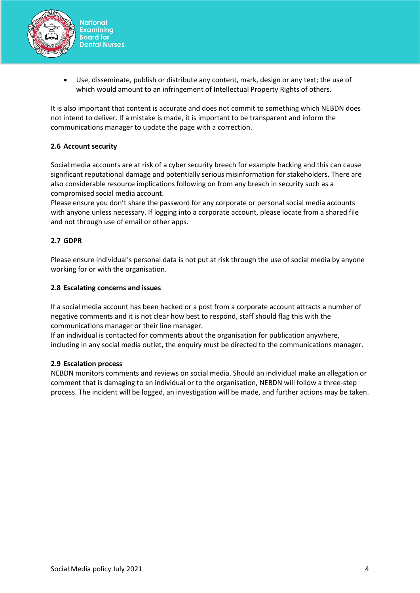

• Use, disseminate, publish or distribute any content, mark, design or any text; the use of which would amount to an infringement of Intellectual Property Rights of others.

It is also important that content is accurate and does not commit to something which NEBDN does not intend to deliver. If a mistake is made, it is important to be transparent and inform the communications manager to update the page with a correction.

# **2.6 Account security**

Social media accounts are at risk of a cyber security breech for example hacking and this can cause significant reputational damage and potentially serious misinformation for stakeholders. There are also considerable resource implications following on from any breach in security such as a compromised social media account.

Please ensure you don't share the password for any corporate or personal social media accounts with anyone unless necessary. If logging into a corporate account, please locate from a shared file and not through use of email or other apps.

# **2.7 GDPR**

Please ensure individual's personal data is not put at risk through the use of social media by anyone working for or with the organisation.

#### **2.8 Escalating concerns and issues**

If a social media account has been hacked or a post from a corporate account attracts a number of negative comments and it is not clear how best to respond, staff should flag this with the communications manager or their line manager.

If an individual is contacted for comments about the organisation for publication anywhere, including in any social media outlet, the enquiry must be directed to the communications manager.

#### **2.9 Escalation process**

NEBDN monitors comments and reviews on social media. Should an individual make an allegation or comment that is damaging to an individual or to the organisation, NEBDN will follow a three-step process. The incident will be logged, an investigation will be made, and further actions may be taken.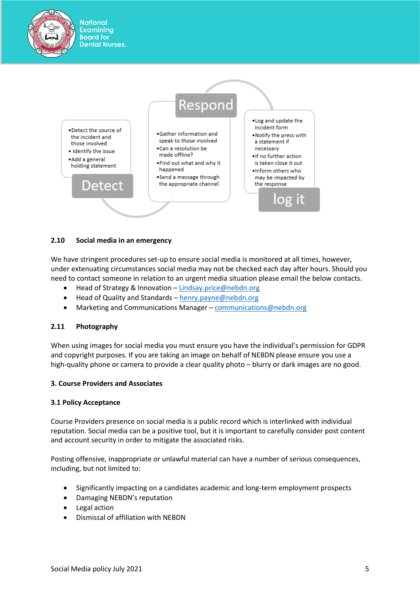

#### **2.10 Social media in an emergency**

**National Examining Board for** 

We have stringent procedures set-up to ensure social media is monitored at all times, however, under extenuating circumstances social media may not be checked each day after hours. Should you need to contact someone in relation to an urgent media situation please email the below contacts.

- Head of Strategy & Innovation [Lindsay.price@nebdn.org](mailto:Lindsay.price@nebdn.org)
- Head of Quality and Standards [henry.payne@nebdn.org](mailto:henry.payne@nebdn.org)
- Marketing and Communications Manager [communications@nebdn.org](mailto:communications@nebdn.org)

#### **2.11 Photography**

When using images for social media you must ensure you have the individual's permission for GDPR and copyright purposes. If you are taking an image on behalf of NEBDN please ensure you use a high-quality phone or camera to provide a clear quality photo – blurry or dark images are no good.

#### **3. Course Providers and Associates**

#### **3.1 Policy Acceptance**

Course Providers presence on social media is a public record which is interlinked with individual reputation. Social media can be a positive tool, but it is important to carefully consider post content and account security in order to mitigate the associated risks.

Posting offensive, inappropriate or unlawful material can have a number of serious consequences, including, but not limited to:

- Significantly impacting on a candidates academic and long-term employment prospects
- Damaging NEBDN's reputation
- Legal action
- Dismissal of affiliation with NEBDN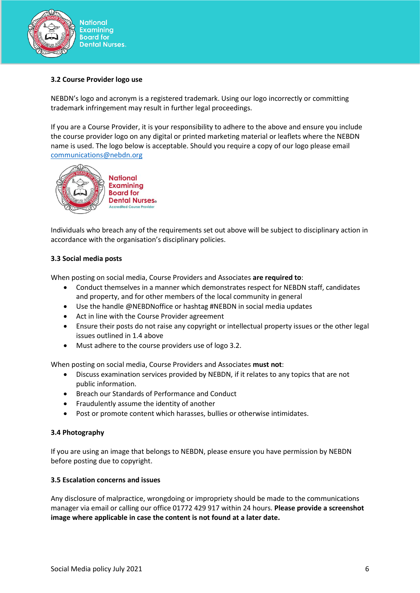

## **3.2 Course Provider logo use**

NEBDN's logo and acronym is a registered trademark. Using our logo incorrectly or committing trademark infringement may result in further legal proceedings.

If you are a Course Provider, it is your responsibility to adhere to the above and ensure you include the course provider logo on any digital or printed marketing material or leaflets where the NEBDN name is used. The logo below is acceptable. Should you require a copy of our logo please email [communications@nebdn.org](mailto:communications@nebdn.org)



Individuals who breach any of the requirements set out above will be subject to disciplinary action in accordance with the organisation's disciplinary policies.

#### **3.3 Social media posts**

When posting on social media, Course Providers and Associates **are required to**:

- Conduct themselves in a manner which demonstrates respect for NEBDN staff, candidates and property, and for other members of the local community in general
- Use the handle @NEBDNoffice or hashtag #NEBDN in social media updates
- Act in line with the Course Provider agreement
- Ensure their posts do not raise any copyright or intellectual property issues or the other legal issues outlined in 1.4 above
- Must adhere to the course providers use of logo 3.2.

When posting on social media, Course Providers and Associates **must not**:

- Discuss examination services provided by NEBDN, if it relates to any topics that are not public information.
- Breach our Standards of Performance and Conduct
- Fraudulently assume the identity of another
- Post or promote content which harasses, bullies or otherwise intimidates.

#### **3.4 Photography**

If you are using an image that belongs to NEBDN, please ensure you have permission by NEBDN before posting due to copyright.

#### **3.5 Escalation concerns and issues**

Any disclosure of malpractice, wrongdoing or impropriety should be made to the communications manager via email or calling our office 01772 429 917 within 24 hours. **Please provide a screenshot image where applicable in case the content is not found at a later date.**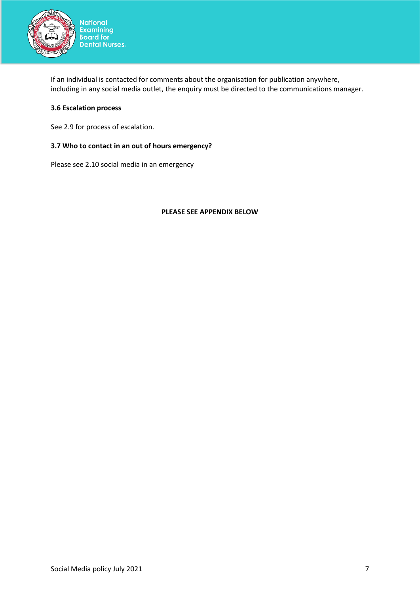

If an individual is contacted for comments about the organisation for publication anywhere, including in any social media outlet, the enquiry must be directed to the communications manager.

## **3.6 Escalation process**

See 2.9 for process of escalation.

# **3.7 Who to contact in an out of hours emergency?**

Please see 2.10 social media in an emergency

#### **PLEASE SEE APPENDIX BELOW**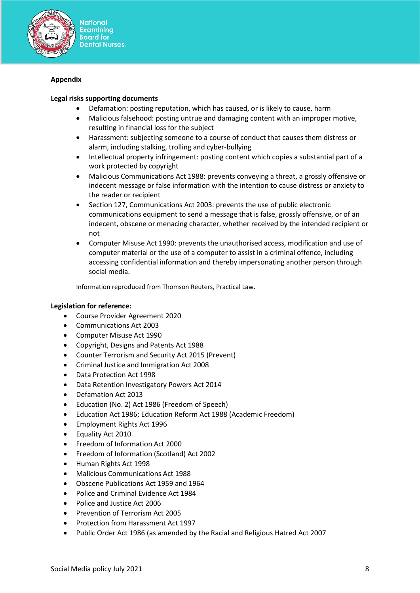

# **Appendix**

#### **Legal risks supporting documents**

- Defamation: posting reputation, which has caused, or is likely to cause, harm
- Malicious falsehood: posting untrue and damaging content with an improper motive, resulting in financial loss for the subject
- Harassment: subjecting someone to a course of conduct that causes them distress or alarm, including stalking, trolling and cyber-bullying
- Intellectual property infringement: posting content which copies a substantial part of a work protected by copyright
- Malicious Communications Act 1988: prevents conveying a threat, a grossly offensive or indecent message or false information with the intention to cause distress or anxiety to the reader or recipient
- Section 127, Communications Act 2003: prevents the use of public electronic communications equipment to send a message that is false, grossly offensive, or of an indecent, obscene or menacing character, whether received by the intended recipient or not
- Computer Misuse Act 1990: prevents the unauthorised access, modification and use of computer material or the use of a computer to assist in a criminal offence, including accessing confidential information and thereby impersonating another person through social media.

Information reproduced from Thomson Reuters, Practical Law.

#### **Legislation for reference:**

- Course Provider Agreement 2020
- Communications Act 2003
- Computer Misuse Act 1990
- Copyright, Designs and Patents Act 1988
- Counter Terrorism and Security Act 2015 (Prevent)
- Criminal Justice and Immigration Act 2008
- Data Protection Act 1998
- Data Retention Investigatory Powers Act 2014
- Defamation Act 2013
- Education (No. 2) Act 1986 (Freedom of Speech)
- Education Act 1986; Education Reform Act 1988 (Academic Freedom)
- Employment Rights Act 1996
- Equality Act 2010
- Freedom of Information Act 2000
- Freedom of Information (Scotland) Act 2002
- Human Rights Act 1998
- Malicious Communications Act 1988
- Obscene Publications Act 1959 and 1964
- Police and Criminal Evidence Act 1984
- Police and Justice Act 2006
- Prevention of Terrorism Act 2005
- Protection from Harassment Act 1997
- Public Order Act 1986 (as amended by the Racial and Religious Hatred Act 2007